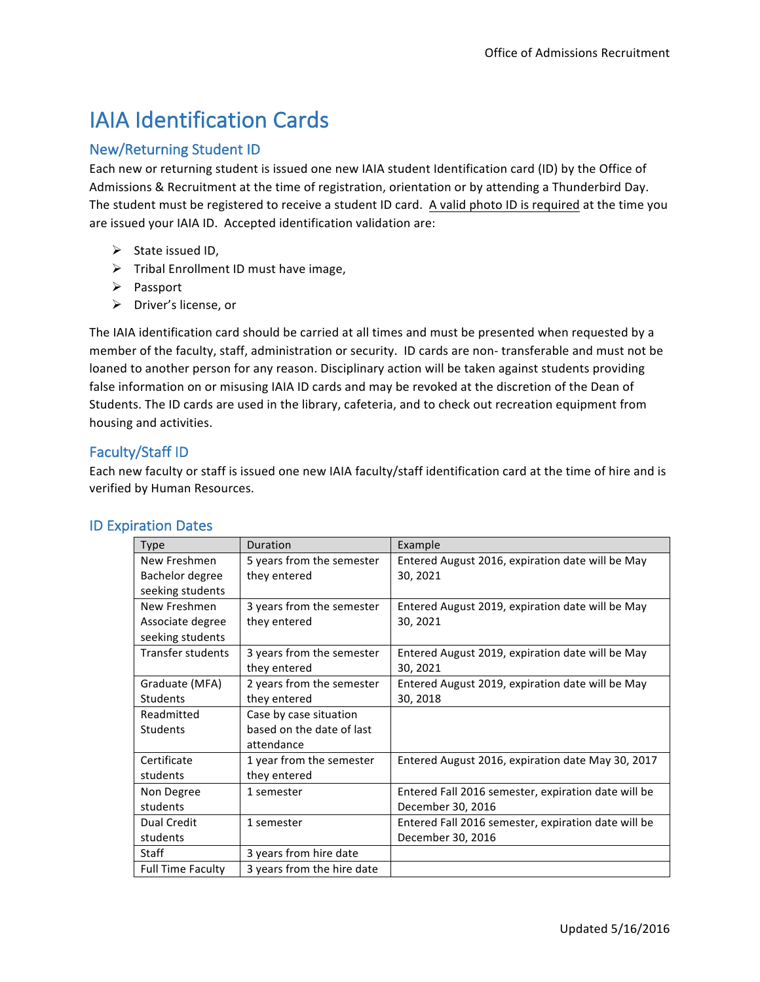# **IAIA Identification Cards**

# **New/Returning Student ID**

Each new or returning student is issued one new IAIA student Identification card (ID) by the Office of Admissions & Recruitment at the time of registration, orientation or by attending a Thunderbird Day. The student must be registered to receive a student ID card. A valid photo ID is required at the time you are issued your IAIA ID. Accepted identification validation are:

- $\triangleright$  State issued ID,
- $\triangleright$  Tribal Enrollment ID must have image,
- Ø Passport
- $\triangleright$  Driver's license, or

The IAIA identification card should be carried at all times and must be presented when requested by a member of the faculty, staff, administration or security. ID cards are non-transferable and must not be loaned to another person for any reason. Disciplinary action will be taken against students providing false information on or misusing IAIA ID cards and may be revoked at the discretion of the Dean of Students. The ID cards are used in the library, cafeteria, and to check out recreation equipment from housing and activities.

# Faculty/Staff ID

Each new faculty or staff is issued one new IAIA faculty/staff identification card at the time of hire and is verified by Human Resources.

| <b>Type</b>              | Duration                   | Example                                             |
|--------------------------|----------------------------|-----------------------------------------------------|
| New Freshmen             | 5 years from the semester  | Entered August 2016, expiration date will be May    |
| Bachelor degree          | they entered               | 30, 2021                                            |
| seeking students         |                            |                                                     |
| New Freshmen             | 3 years from the semester  | Entered August 2019, expiration date will be May    |
| Associate degree         | they entered               | 30, 2021                                            |
| seeking students         |                            |                                                     |
| Transfer students        | 3 years from the semester  | Entered August 2019, expiration date will be May    |
|                          | they entered               | 30, 2021                                            |
| Graduate (MFA)           | 2 years from the semester  | Entered August 2019, expiration date will be May    |
| <b>Students</b>          | they entered               | 30, 2018                                            |
| Readmitted               | Case by case situation     |                                                     |
| <b>Students</b>          | based on the date of last  |                                                     |
|                          | attendance                 |                                                     |
| Certificate              | 1 year from the semester   | Entered August 2016, expiration date May 30, 2017   |
| students                 | they entered               |                                                     |
| Non Degree               | 1 semester                 | Entered Fall 2016 semester, expiration date will be |
| students                 |                            | December 30, 2016                                   |
| Dual Credit              | 1 semester                 | Entered Fall 2016 semester, expiration date will be |
| students                 |                            | December 30, 2016                                   |
| Staff                    | 3 years from hire date     |                                                     |
| <b>Full Time Faculty</b> | 3 years from the hire date |                                                     |

# **ID Expiration Dates**